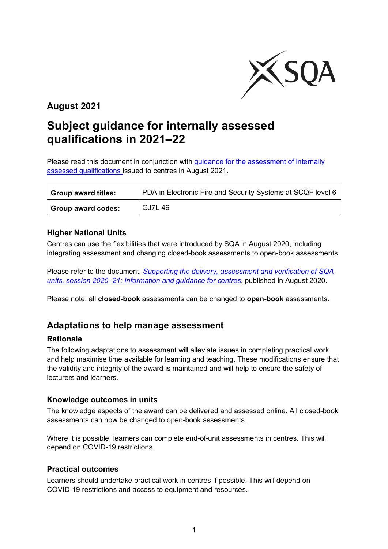

# **August 2021**

# **Subject guidance for internally assessed qualifications in 2021–22**

Please read this document in conjunction with guidance for the assessment of internally [assessed qualifications i](https://www.sqa.org.uk/sqa/95044.html)ssued to centres in August 2021.

| <b>Group award titles:</b> | PDA in Electronic Fire and Security Systems at SCQF level 6 |
|----------------------------|-------------------------------------------------------------|
| <b>Group award codes:</b>  | <b>GJ7L46</b>                                               |

#### **Higher National Units**

Centres can use the flexibilities that were introduced by SQA in August 2020, including integrating assessment and changing closed-book assessments to open-book assessments.

Please refer to the document, *[Supporting the delivery, assessment](https://www.sqa.org.uk/sqa/files_ccc/Supporting-the-delivery-and-assessment-of-HNVQ-in-2020-21.pdf) and verification of SQA [units, session 2020–21: Information and guidance for centres](https://www.sqa.org.uk/sqa/files_ccc/Supporting-the-delivery-and-assessment-of-HNVQ-in-2020-21.pdf)*, published in August 2020.

Please note: all **closed-book** assessments can be changed to **open-book** assessments.

### **Adaptations to help manage assessment**

#### **Rationale**

The following adaptations to assessment will alleviate issues in completing practical work and help maximise time available for learning and teaching. These modifications ensure that the validity and integrity of the award is maintained and will help to ensure the safety of lecturers and learners.

#### **Knowledge outcomes in units**

The knowledge aspects of the award can be delivered and assessed online. All closed-book assessments can now be changed to open-book assessments.

Where it is possible, learners can complete end-of-unit assessments in centres. This will depend on COVID-19 restrictions.

#### **Practical outcomes**

Learners should undertake practical work in centres if possible. This will depend on COVID-19 restrictions and access to equipment and resources.